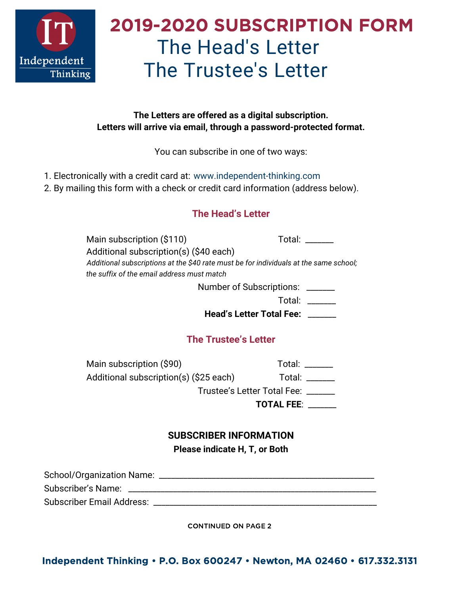

# 2019-2020 SUBSCRIPTION FORM The Head's Letter The Trustee's Letter

#### **The Letters are offered as a digital subscription. Letters will arrive via email, through a password-protected format.**

You can subscribe in one of two ways:

- 1. Electronically with a credit card at: [www.independent-thinking.com](https://www.independent-thinking.com/letters-subscription-info)
- 2. By mailing this form with a check or credit card information (address below).

## **The Head's Letter**

Main subscription (\$110) Total: \_\_\_\_\_\_ Additional subscription(s) (\$40 each) *Additional subscriptions at the \$40 rate must be for individuals at the same school; the suffix of the email address must match*

Number of Subscriptions: \_\_\_\_\_\_\_

Total: \_\_\_\_\_\_\_

**Head's Letter Total Fee:** \_\_\_\_\_\_\_

#### **The Trustee's Letter**

Main subscription (\$90) Total: \_\_\_\_\_\_ Additional subscription(s) (\$25 each) Total: \_\_\_\_\_\_ Trustee's Letter Total Fee: \_\_\_\_\_\_\_

**TOTAL FEE**: \_\_\_\_\_\_\_

### **SUBSCRIBER INFORMATION Please indicate H, T, or Both**

| School/Organization Name: |  |
|---------------------------|--|
| Subscriber's Name:        |  |
| Subscriber Email Address: |  |

CONTINUED ON PAGE 2